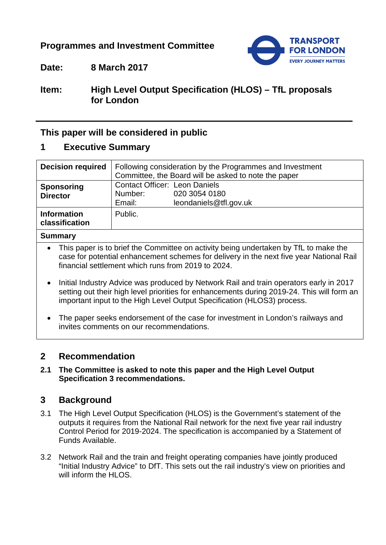## **Programmes and Investment Committee**



## **Date: 8 March 2017**

## **Item: High Level Output Specification (HLOS) – TfL proposals for London**

## **This paper will be considered in public**

## **1 Executive Summary**

| <b>Decision required</b>             | Following consideration by the Programmes and Investment<br>Committee, the Board will be asked to note the paper |  |  |
|--------------------------------------|------------------------------------------------------------------------------------------------------------------|--|--|
| <b>Sponsoring</b><br><b>Director</b> | <b>Contact Officer: Leon Daniels</b><br>Number:<br>020 3054 0180<br>leondaniels@tfl.gov.uk<br>Email:             |  |  |
| <b>Information</b><br>classification | Public.                                                                                                          |  |  |
| <b>Summary</b>                       |                                                                                                                  |  |  |

- This paper is to brief the Committee on activity being undertaken by TfL to make the case for potential enhancement schemes for delivery in the next five year National Rail financial settlement which runs from 2019 to 2024.
- Initial Industry Advice was produced by Network Rail and train operators early in 2017 setting out their high level priorities for enhancements during 2019-24. This will form an important input to the High Level Output Specification (HLOS3) process.
- The paper seeks endorsement of the case for investment in London's railways and invites comments on our recommendations.

## **2 Recommendation**

### **2.1 The Committee is asked to note this paper and the High Level Output Specification 3 recommendations.**

## **3 Background**

- 3.1 The High Level Output Specification (HLOS) is the Government's statement of the outputs it requires from the National Rail network for the next five year rail industry Control Period for 2019-2024. The specification is accompanied by a Statement of Funds Available.
- 3.2 Network Rail and the train and freight operating companies have jointly produced "Initial Industry Advice" to DfT. This sets out the rail industry's view on priorities and will inform the HLOS.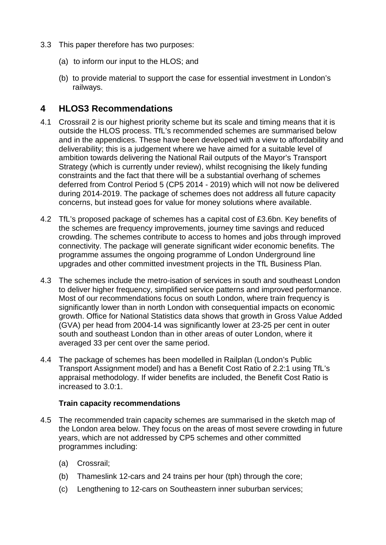- 3.3 This paper therefore has two purposes:
	- (a) to inform our input to the HLOS; and
	- (b) to provide material to support the case for essential investment in London's railways.

## **4 HLOS3 Recommendations**

- 4.1 Crossrail 2 is our highest priority scheme but its scale and timing means that it is outside the HLOS process. TfL's recommended schemes are summarised below and in the appendices. These have been developed with a view to affordability and deliverability; this is a judgement where we have aimed for a suitable level of ambition towards delivering the National Rail outputs of the Mayor's Transport Strategy (which is currently under review), whilst recognising the likely funding constraints and the fact that there will be a substantial overhang of schemes deferred from Control Period 5 (CP5 2014 - 2019) which will not now be delivered during 2014-2019. The package of schemes does not address all future capacity concerns, but instead goes for value for money solutions where available.
- 4.2 TfL's proposed package of schemes has a capital cost of £3.6bn. Key benefits of the schemes are frequency improvements, journey time savings and reduced crowding. The schemes contribute to access to homes and jobs through improved connectivity. The package will generate significant wider economic benefits. The programme assumes the ongoing programme of London Underground line upgrades and other committed investment projects in the TfL Business Plan.
- 4.3 The schemes include the metro-isation of services in south and southeast London to deliver higher frequency, simplified service patterns and improved performance. Most of our recommendations focus on south London, where train frequency is significantly lower than in north London with consequential impacts on economic growth. Office for National Statistics data shows that growth in Gross Value Added (GVA) per head from 2004-14 was significantly lower at 23-25 per cent in outer south and southeast London than in other areas of outer London, where it averaged 33 per cent over the same period.
- 4.4 The package of schemes has been modelled in Railplan (London's Public Transport Assignment model) and has a Benefit Cost Ratio of 2.2:1 using TfL's appraisal methodology. If wider benefits are included, the Benefit Cost Ratio is increased to 3.0:1.

## **Train capacity recommendations**

- 4.5 The recommended train capacity schemes are summarised in the sketch map of the London area below. They focus on the areas of most severe crowding in future years, which are not addressed by CP5 schemes and other committed programmes including:
	- (a) Crossrail;
	- (b) Thameslink 12-cars and 24 trains per hour (tph) through the core;
	- (c) Lengthening to 12-cars on Southeastern inner suburban services;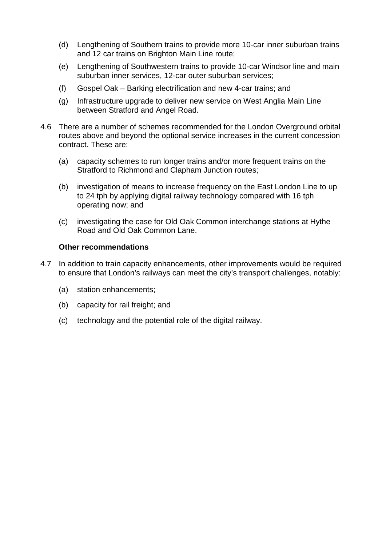- (d) Lengthening of Southern trains to provide more 10-car inner suburban trains and 12 car trains on Brighton Main Line route;
- (e) Lengthening of Southwestern trains to provide 10-car Windsor line and main suburban inner services, 12-car outer suburban services;
- (f) Gospel Oak Barking electrification and new 4-car trains; and
- (g) Infrastructure upgrade to deliver new service on West Anglia Main Line between Stratford and Angel Road.
- 4.6 There are a number of schemes recommended for the London Overground orbital routes above and beyond the optional service increases in the current concession contract. These are:
	- (a) capacity schemes to run longer trains and/or more frequent trains on the Stratford to Richmond and Clapham Junction routes;
	- (b) investigation of means to increase frequency on the East London Line to up to 24 tph by applying digital railway technology compared with 16 tph operating now; and
	- (c) investigating the case for Old Oak Common interchange stations at Hythe Road and Old Oak Common Lane.

### **Other recommendations**

- 4.7 In addition to train capacity enhancements, other improvements would be required to ensure that London's railways can meet the city's transport challenges, notably:
	- (a) station enhancements;
	- (b) capacity for rail freight; and
	- (c) technology and the potential role of the digital railway.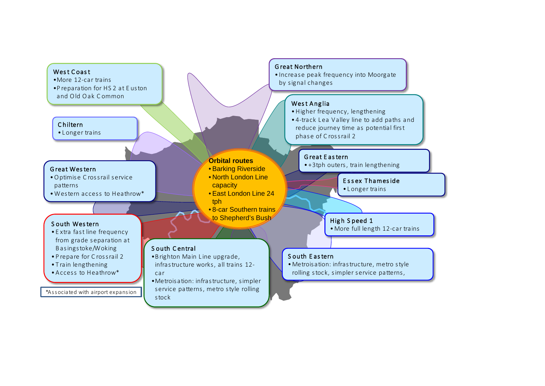#### West Coast

- •More 12-car trains
- •P reparation for HS 2 at E uston and O ld O ak C ommon

#### C hiltern

• L onger trains

#### G reat Wes tern

- •O ptimis e C ros s rail s ervice patterns
- •Western access to Heathrow\*

#### S outh Wes tern

- E xtra fast line frequency from grade separation at B asingstoke/Woking
- P repare for C ross rail 2
- T rain lengthening
- •Access to Heathrow\*

\*Associated with airport expansion

### G reat Northern

• Increase peak frequency into Moorgate by signal changes

#### West Anglia

- •Higher frequency, lengthening
- 4-track L ea V alley line to add paths and reduce journey time as potential first phase of C rossrail 2

#### G reat E as tern

• +3tph outers, train lengthening

## E ssex Thames ide

• L onger trains

### High S peed 1

•More full length 12-car trains

### S outh E as tern

•Metrois ation: infras tructure, metro s tyle rolling s tock, s impler service patterns,

#### car •Metrois ation: infras tructure, s impler service patterns, metro s tyle rolling s tock

•B righton Main L ine upgrade, infras tructure works, all trains 12-

**Orbital routes** • Barking Riverside • North London Line

• East London Line 24

• 8-car Southern trains to Shepherd's Bush

capacity

tph

S outh C entral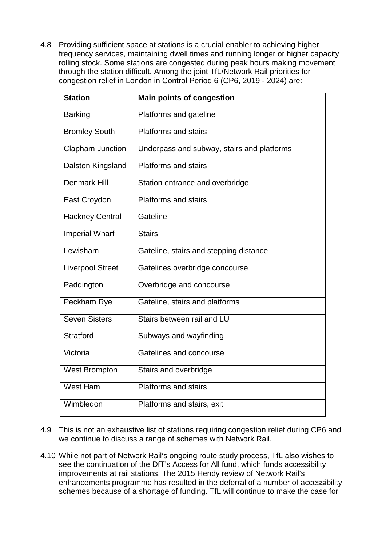4.8 Providing sufficient space at stations is a crucial enabler to achieving higher frequency services, maintaining dwell times and running longer or higher capacity rolling stock. Some stations are congested during peak hours making movement through the station difficult. Among the joint TfL/Network Rail priorities for congestion relief in London in Control Period 6 (CP6, 2019 - 2024) are:

| <b>Station</b>          | <b>Main points of congestion</b>           |  |  |
|-------------------------|--------------------------------------------|--|--|
| <b>Barking</b>          | Platforms and gateline                     |  |  |
| <b>Bromley South</b>    | <b>Platforms and stairs</b>                |  |  |
| Clapham Junction        | Underpass and subway, stairs and platforms |  |  |
| Dalston Kingsland       | Platforms and stairs                       |  |  |
| <b>Denmark Hill</b>     | Station entrance and overbridge            |  |  |
| East Croydon            | <b>Platforms and stairs</b>                |  |  |
| <b>Hackney Central</b>  | Gateline                                   |  |  |
| <b>Imperial Wharf</b>   | <b>Stairs</b>                              |  |  |
| Lewisham                | Gateline, stairs and stepping distance     |  |  |
| <b>Liverpool Street</b> | Gatelines overbridge concourse             |  |  |
| Paddington              | Overbridge and concourse                   |  |  |
| Peckham Rye             | Gateline, stairs and platforms             |  |  |
| <b>Seven Sisters</b>    | Stairs between rail and LU                 |  |  |
| Stratford               | Subways and wayfinding                     |  |  |
| Victoria                | Gatelines and concourse                    |  |  |
| <b>West Brompton</b>    | Stairs and overbridge                      |  |  |
| <b>West Ham</b>         | Platforms and stairs                       |  |  |
| Wimbledon               | Platforms and stairs, exit                 |  |  |

- 4.9 This is not an exhaustive list of stations requiring congestion relief during CP6 and we continue to discuss a range of schemes with Network Rail.
- 4.10 While not part of Network Rail's ongoing route study process, TfL also wishes to see the continuation of the DfT's Access for All fund, which funds accessibility improvements at rail stations. The 2015 Hendy review of Network Rail's enhancements programme has resulted in the deferral of a number of accessibility schemes because of a shortage of funding. TfL will continue to make the case for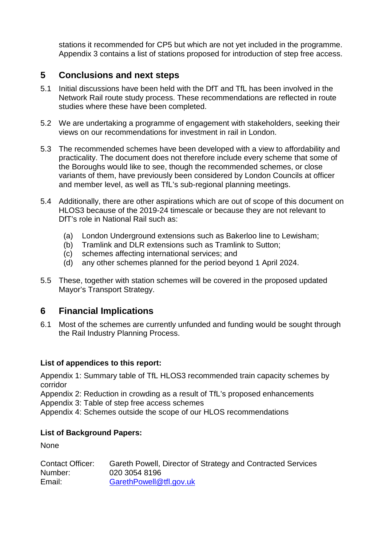stations it recommended for CP5 but which are not yet included in the programme. Appendix 3 contains a list of stations proposed for introduction of step free access.

## **5 Conclusions and next steps**

- 5.1 Initial discussions have been held with the DfT and TfL has been involved in the Network Rail route study process. These recommendations are reflected in route studies where these have been completed.
- 5.2 We are undertaking a programme of engagement with stakeholders, seeking their views on our recommendations for investment in rail in London.
- 5.3 The recommended schemes have been developed with a view to affordability and practicality. The document does not therefore include every scheme that some of the Boroughs would like to see, though the recommended schemes, or close variants of them, have previously been considered by London Councils at officer and member level, as well as TfL's sub-regional planning meetings.
- 5.4 Additionally, there are other aspirations which are out of scope of this document on HLOS3 because of the 2019-24 timescale or because they are not relevant to DfT's role in National Rail such as:
	- (a) London Underground extensions such as Bakerloo line to Lewisham;
	- (b) Tramlink and DLR extensions such as Tramlink to Sutton;
	- (c) schemes affecting international services; and
	- (d) any other schemes planned for the period beyond 1 April 2024.
- 5.5 These, together with station schemes will be covered in the proposed updated Mayor's Transport Strategy.

## **6 Financial Implications**

6.1 Most of the schemes are currently unfunded and funding would be sought through the Rail Industry Planning Process.

## **List of appendices to this report:**

Appendix 1: Summary table of TfL HLOS3 recommended train capacity schemes by corridor

Appendix 2: Reduction in crowding as a result of TfL's proposed enhancements Appendix 3: Table of step free access schemes

Appendix 4: Schemes outside the scope of our HLOS recommendations

## **List of Background Papers:**

None

| <b>Contact Officer:</b> | Gareth Powell, Director of Strategy and Contracted Services |
|-------------------------|-------------------------------------------------------------|
| Number:                 | 020 3054 8196                                               |
| Email:                  | GarethPowell@tfl.gov.uk                                     |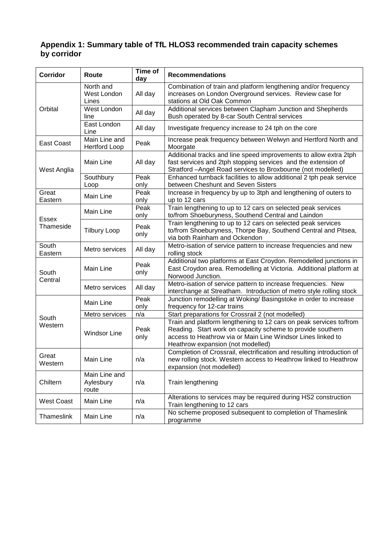### **Appendix 1: Summary table of TfL HLOS3 recommended train capacity schemes by corridor**

| <b>Corridor</b>         | Route                                        | Time of<br>day | <b>Recommendations</b>                                                                                                                                                                                                               |
|-------------------------|----------------------------------------------|----------------|--------------------------------------------------------------------------------------------------------------------------------------------------------------------------------------------------------------------------------------|
| Orbital                 | North and<br>West London<br>All day<br>Lines |                | Combination of train and platform lengthening and/or frequency<br>increases on London Overground services. Review case for<br>stations at Old Oak Common                                                                             |
|                         | West London<br>line                          | All day        | Additional services between Clapham Junction and Shepherds<br>Bush operated by 8-car South Central services                                                                                                                          |
|                         | East London<br>Line                          | All day        | Investigate frequency increase to 24 tph on the core                                                                                                                                                                                 |
| <b>East Coast</b>       | Main Line and<br><b>Hertford Loop</b>        | Peak           | Increase peak frequency between Welwyn and Hertford North and<br>Moorgate                                                                                                                                                            |
| West Anglia             | Main Line                                    | All day        | Additional tracks and line speed improvements to allow extra 2tph<br>fast services and 2tph stopping services and the extension of<br>Stratford -Angel Road services to Broxbourne (not modelled)                                    |
|                         | Southbury<br>Loop                            | Peak<br>only   | Enhanced turnback facilities to allow additional 2 tph peak service<br>between Cheshunt and Seven Sisters                                                                                                                            |
| Great<br>Eastern        | <b>Main Line</b>                             | Peak<br>only   | Increase in frequency by up to 3tph and lengthening of outers to<br>up to 12 cars                                                                                                                                                    |
| Essex<br>Thameside      | Main Line                                    | Peak<br>only   | Train lengthening to up to 12 cars on selected peak services<br>to/from Shoeburyness, Southend Central and Laindon                                                                                                                   |
|                         | <b>Tilbury Loop</b>                          | Peak<br>only   | Train lengthening to up to 12 cars on selected peak services<br>to/from Shoeburyness, Thorpe Bay, Southend Central and Pitsea,<br>via both Rainham and Ockendon                                                                      |
| South<br>Eastern        | Metro services                               | All day        | Metro-isation of service pattern to increase frequencies and new<br>rolling stock                                                                                                                                                    |
| South<br>Central        | Main Line                                    | Peak<br>only   | Additional two platforms at East Croydon. Remodelled junctions in<br>East Croydon area. Remodelling at Victoria. Additional platform at<br>Norwood Junction.                                                                         |
|                         | Metro services                               | All day        | Metro-isation of service pattern to increase frequencies. New<br>interchange at Streatham. Introduction of metro style rolling stock                                                                                                 |
|                         | Main Line                                    | Peak<br>only   | Junction remodelling at Woking/ Basingstoke in order to increase<br>frequency for 12-car trains                                                                                                                                      |
| South                   | Metro services                               | n/a            | Start preparations for Crossrail 2 (not modelled)                                                                                                                                                                                    |
| Western                 | <b>Windsor Line</b>                          | Peak<br>only   | Train and platform lengthening to 12 cars on peak services to/from<br>Reading. Start work on capacity scheme to provide southern<br>access to Heathrow via or Main Line Windsor Lines linked to<br>Heathrow expansion (not modelled) |
| Great<br>Western        | Main Line                                    | n/a            | Completion of Crossrail, electrification and resulting introduction of<br>new rolling stock. Western access to Heathrow linked to Heathrow<br>expansion (not modelled)                                                               |
| Chiltern                | Main Line and<br>Aylesbury<br>n/a<br>route   |                | Train lengthening                                                                                                                                                                                                                    |
| <b>West Coast</b>       | Main Line<br>n/a                             |                | Alterations to services may be required during HS2 construction<br>Train lengthening to 12 cars                                                                                                                                      |
| Thameslink<br>Main Line |                                              | n/a            | No scheme proposed subsequent to completion of Thameslink<br>programme                                                                                                                                                               |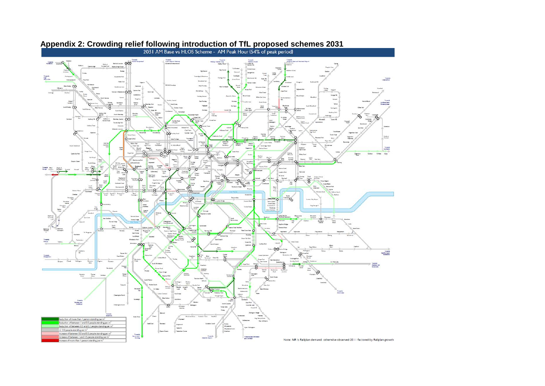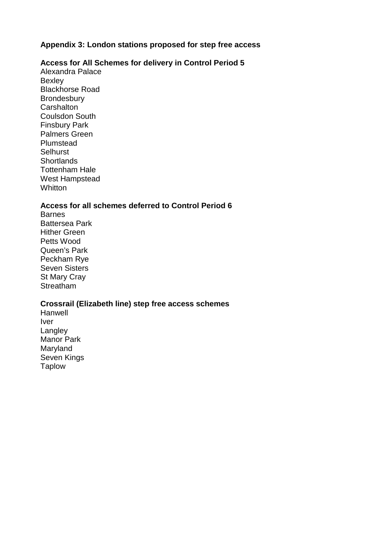### **Appendix 3: London stations proposed for step free access**

### **Access for All Schemes for delivery in Control Period 5**

Alexandra Palace Bexley Blackhorse Road **Brondesbury Carshalton** Coulsdon South Finsbury Park Palmers Green Plumstead **Selhurst Shortlands** Tottenham Hale West Hampstead **Whitton** 

### **Access for all schemes deferred to Control Period 6**

**Barnes** Battersea Park Hither Green Petts Wood Queen's Park Peckham Rye Seven Sisters St Mary Cray **Streatham** 

### **Crossrail (Elizabeth line) step free access schemes**

Hanwell Iver Langley Manor Park Maryland Seven Kings Taplow